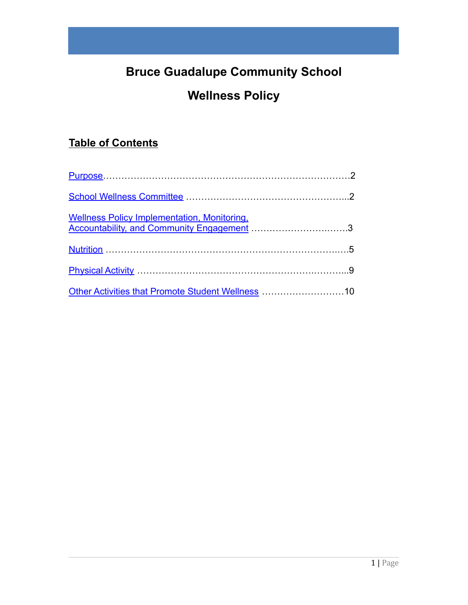# **Bruce Guadalupe Community School**

# **Wellness Policy**

# **Table of Contents**

| Wellness Policy Implementation, Monitoring,<br>Accountability, and Community Engagement 3 |  |
|-------------------------------------------------------------------------------------------|--|
|                                                                                           |  |
|                                                                                           |  |
| Other Activities that Promote Student Wellness 10                                         |  |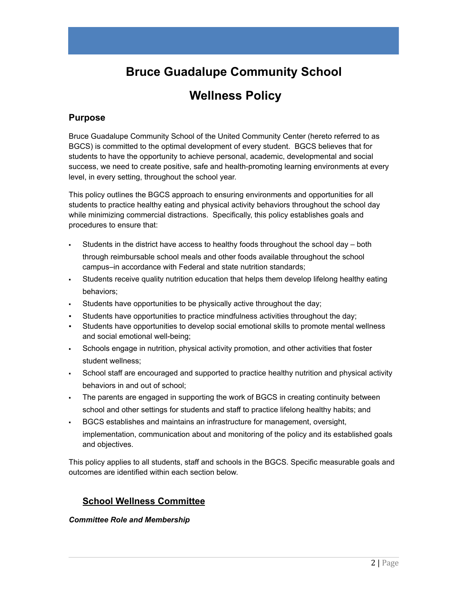# **Bruce Guadalupe Community School**

# **Wellness Policy**

# <span id="page-1-0"></span>**Purpose**

Bruce Guadalupe Community School of the United Community Center (hereto referred to as BGCS) is committed to the optimal development of every student. BGCS believes that for students to have the opportunity to achieve personal, academic, developmental and social success, we need to create positive, safe and health-promoting learning environments at every level, in every setting, throughout the school year.

This policy outlines the BGCS approach to ensuring environments and opportunities for all students to practice healthy eating and physical activity behaviors throughout the school day while minimizing commercial distractions. Specifically, this policy establishes goals and procedures to ensure that:

- Students in the district have access to healthy foods throughout the school day both through reimbursable school meals and other foods available throughout the school campus-in accordance with Federal and state nutrition standards;
- **•** Students receive quality nutrition education that helps them develop lifelong healthy eating behaviors;
- Students have opportunities to be physically active throughout the day;
- Students have opportunities to practice mindfulness activities throughout the day;
- Students have opportunities to develop social emotional skills to promote mental wellness and social emotional well-being;
- Schools engage in nutrition, physical activity promotion, and other activities that foster student wellness;
- School staff are encouraged and supported to practice healthy nutrition and physical activity behaviors in and out of school;
- The parents are engaged in supporting the work of BGCS in creating continuity between school and other settings for students and staff to practice lifelong healthy habits; and
- BGCS establishes and maintains an infrastructure for management, oversight, implementation, communication about and monitoring of the policy and its established goals and objectives.

This policy applies to all students, staff and schools in the BGCS. Specific measurable goals and outcomes are identified within each section below.

# **School Wellness Committee**

### *Committee Role and Membership*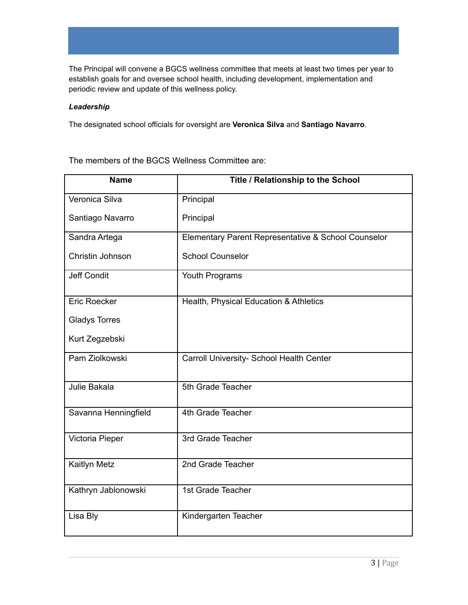The Principal will convene a BGCS wellness committee that meets at least two times per year to establish goals for and oversee school health, including development, implementation and periodic review and update of this wellness policy.

### *Leadership*

The designated school officials for oversight are **Veronica Silva** and **Santiago Navarro**.

The members of the BGCS Wellness Committee are:

| <b>Name</b>          | Title / Relationship to the School                  |
|----------------------|-----------------------------------------------------|
| Veronica Silva       | Principal                                           |
| Santiago Navarro     | Principal                                           |
| Sandra Artega        | Elementary Parent Representative & School Counselor |
| Christin Johnson     | <b>School Counselor</b>                             |
| <b>Jeff Condit</b>   | Youth Programs                                      |
| <b>Eric Roecker</b>  | Health, Physical Education & Athletics              |
| <b>Gladys Torres</b> |                                                     |
| Kurt Zegzebski       |                                                     |
| Pam Ziolkowski       | Carroll University- School Health Center            |
| Julie Bakala         | 5th Grade Teacher                                   |
| Savanna Henningfield | 4th Grade Teacher                                   |
| Victoria Pieper      | 3rd Grade Teacher                                   |
| Kaitlyn Metz         | 2nd Grade Teacher                                   |
| Kathryn Jablonowski  | 1st Grade Teacher                                   |
| Lisa Bly             | Kindergarten Teacher                                |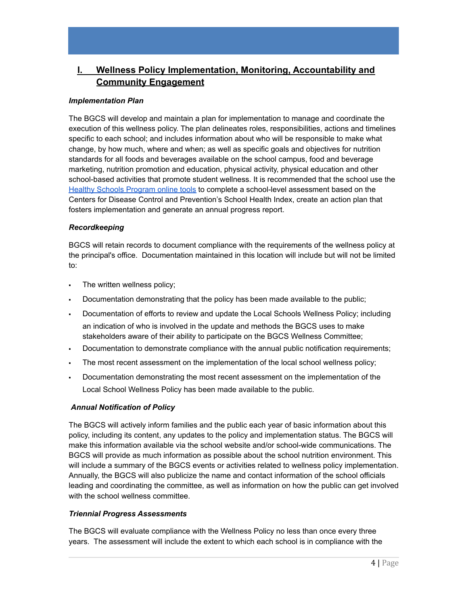# <span id="page-3-0"></span>**I. Wellness Policy Implementation, Monitoring, Accountability and Community Engagement**

### *Implementation Plan*

The BGCS will develop and maintain a plan for implementation to manage and coordinate the execution of this wellness policy. The plan delineates roles, responsibilities, actions and timelines specific to each school; and includes information about who will be responsible to make what change, by how much, where and when; as well as specific goals and objectives for nutrition standards for all foods and beverages available on the school campus, food and beverage marketing, nutrition promotion and education, physical activity, physical education and other school-based activities that promote student wellness. It is recommended that the school use the Healthy Schools [Program](https://www.mihealthtools.org/hsat/) online tools to complete a school-level assessment based on the Centers for Disease Control and Prevention's School Health Index, create an action plan that fosters implementation and generate an annual progress report.

#### *Recordkeeping*

BGCS will retain records to document compliance with the requirements of the wellness policy at the principal's office. Documentation maintained in this location will include but will not be limited to:

- **The written wellness policy;**
- Documentation demonstrating that the policy has been made available to the public;
- Documentation of efforts to review and update the Local Schools Wellness Policy; including an indication of who is involved in the update and methods the BGCS uses to make stakeholders aware of their ability to participate on the BGCS Wellness Committee;
- Documentation to demonstrate compliance with the annual public notification requirements;
- The most recent assessment on the implementation of the local school wellness policy;
- Documentation demonstrating the most recent assessment on the implementation of the Local School Wellness Policy has been made available to the public.

### *Annual Notification of Policy*

The BGCS will actively inform families and the public each year of basic information about this policy, including its content, any updates to the policy and implementation status. The BGCS will make this information available via the school website and/or school-wide communications. The BGCS will provide as much information as possible about the school nutrition environment. This will include a summary of the BGCS events or activities related to wellness policy implementation. Annually, the BGCS will also publicize the name and contact information of the school officials leading and coordinating the committee, as well as information on how the public can get involved with the school wellness committee.

#### *Triennial Progress Assessments*

The BGCS will evaluate compliance with the Wellness Policy no less than once every three years. The assessment will include the extent to which each school is in compliance with the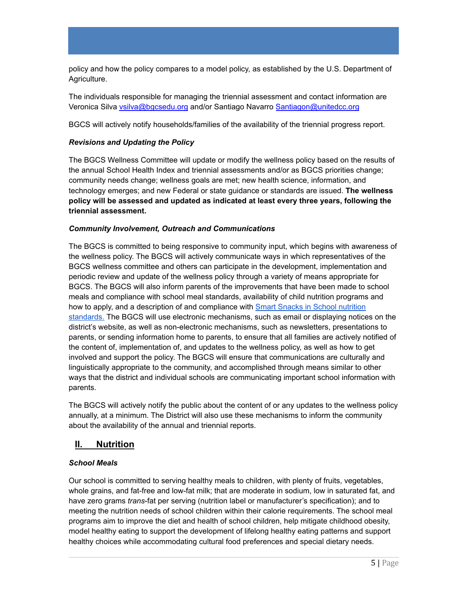policy and how the policy compares to a model policy, as established by the U.S. Department of Agriculture.

The individuals responsible for managing the triennial assessment and contact information are Veronica Silva [vsilva@bgcsedu.org](mailto:vsilva@bgcsedu.org) and/or Santiago Navarro [Santiagon@unitedcc.org](mailto:Santiagon@unitedcc.org)

BGCS will actively notify households/families of the availability of the triennial progress report.

### *Revisions and Updating the Policy*

The BGCS Wellness Committee will update or modify the wellness policy based on the results of the annual School Health Index and triennial assessments and/or as BGCS priorities change; community needs change; wellness goals are met; new health science, information, and technology emerges; and new Federal or state guidance or standards are issued. **The wellness policy will be assessed and updated as indicated at least every three years, following the triennial assessment.**

### *Community Involvement, Outreach and Communications*

The BGCS is committed to being responsive to community input, which begins with awareness of the wellness policy. The BGCS will actively communicate ways in which representatives of the BGCS wellness committee and others can participate in the development, implementation and periodic review and update of the wellness policy through a variety of means appropriate for BGCS. The BGCS will also inform parents of the improvements that have been made to school meals and compliance with school meal standards, availability of child nutrition programs and how to apply, and a description of and compliance with **Smart Snacks in School [nutrition](https://www.fns.usda.gov/cn/tools-schools-focusing-smart-snacks)** [standards.](https://www.fns.usda.gov/cn/tools-schools-focusing-smart-snacks) The BGCS will use electronic mechanisms, such as email or displaying notices on the district's website, as well as non-electronic mechanisms, such as newsletters, presentations to parents, or sending information home to parents, to ensure that all families are actively notified of the content of, implementation of, and updates to the wellness policy, as well as how to get involved and support the policy. The BGCS will ensure that communications are culturally and linguistically appropriate to the community, and accomplished through means similar to other ways that the district and individual schools are communicating important school information with parents.

The BGCS will actively notify the public about the content of or any updates to the wellness policy annually, at a minimum. The District will also use these mechanisms to inform the community about the availability of the annual and triennial reports.

# <span id="page-4-0"></span>**II. Nutrition**

# *School Meals*

Our school is committed to serving healthy meals to children, with plenty of fruits, vegetables, whole grains, and fat-free and low-fat milk; that are moderate in sodium, low in saturated fat, and have zero grams *trans*-fat per serving (nutrition label or manufacturer's specification); and to meeting the nutrition needs of school children within their calorie requirements. The school meal programs aim to improve the diet and health of school children, help mitigate childhood obesity, model healthy eating to support the development of lifelong healthy eating patterns and support healthy choices while accommodating cultural food preferences and special dietary needs.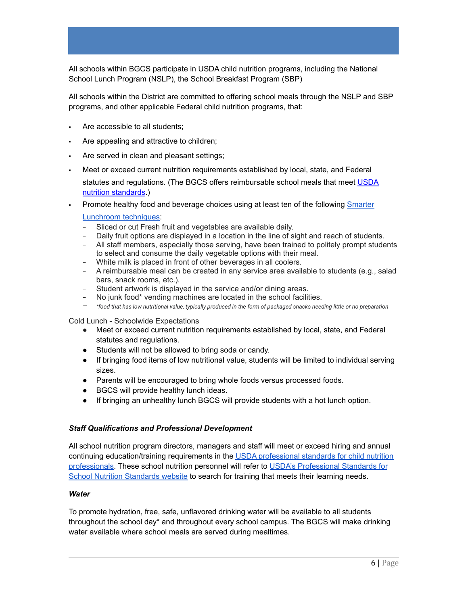All schools within BGCS participate in USDA child nutrition programs, including the National School Lunch Program (NSLP), the School Breakfast Program (SBP)

All schools within the District are committed to offering school meals through the NSLP and SBP programs, and other applicable Federal child nutrition programs, that:

- Are accessible to all students;
- Are appealing and attractive to children;
- Are served in clean and pleasant settings;
- Meet or exceed current nutrition requirements established by local, state, and Federal statutes and regulations. (The BGCS offers reimbursable school meals that meet [USDA](http://www.fns.usda.gov/school-meals/nutrition-standards-school-meals) nutrition [standards](http://www.fns.usda.gov/school-meals/nutrition-standards-school-meals).)
- Promote healthy food and beverage choices using at least ten of the following **[Smarter](https://www.actionforhealthykids.org/activity/smarter-lunchrooms/)**

#### [Lunchroom](https://www.actionforhealthykids.org/activity/smarter-lunchrooms/) techniques:

- Sliced or cut Fresh fruit and vegetables are available daily.
- Daily fruit options are displayed in a location in the line of sight and reach of students.
- − All staff members, especially those serving, have been trained to politely prompt students to select and consume the daily vegetable options with their meal.
- − White milk is placed in front of other beverages in all coolers.
- − A reimbursable meal can be created in any service area available to students (e.g., salad bars, snack rooms, etc.).
- − Student artwork is displayed in the service and/or dining areas.
- − No junk food\* vending machines are located in the school facilities.
- *− \*food that has low nutritional value, typically produced in the form of packaged snacks needing little or no preparation*

Cold Lunch - Schoolwide Expectations

- Meet or exceed current nutrition requirements established by local, state, and Federal statutes and regulations.
- Students will not be allowed to bring soda or candy.
- If bringing food items of low nutritional value, students will be limited to individual serving sizes.
- Parents will be encouraged to bring whole foods versus processed foods.
- BGCS will provide healthy lunch ideas.
- If bringing an unhealthy lunch BGCS will provide students with a hot lunch option.

#### *Staff Qualifications and Professional Development*

All school nutrition program directors, managers and staff will meet or exceed hiring and annual continuing education/training requirements in the USDA [professional](https://www.fns.usda.gov/cacfp/meals-and-snacks) standards for child nutrition [professionals.](https://www.fns.usda.gov/cacfp/meals-and-snacks) These school nutrition personnel will refer to USDA's [Professional](https://www.fns.usda.gov/cacfp/meals-and-snacks) Standards for School Nutrition [Standards](https://www.fns.usda.gov/cacfp/meals-and-snacks) website to search for training that meets their learning needs.

#### *Water*

To promote hydration, free, safe, unflavored drinking water will be available to all students throughout the school day\* and throughout every school campus. The BGCS will make drinking water available where school meals are served during mealtimes.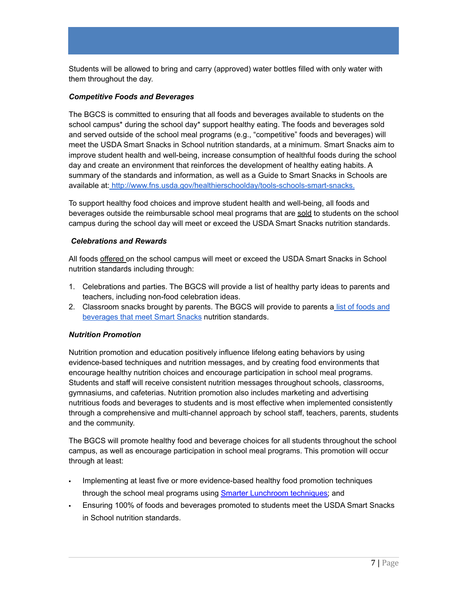Students will be allowed to bring and carry (approved) water bottles filled with only water with them throughout the day.

### *Competitive Foods and Beverages*

The BGCS is committed to ensuring that all foods and beverages available to students on the school campus\* during the school day\* support healthy eating. The foods and beverages sold and served outside of the school meal programs (e.g., "competitive" foods and beverages) will meet the USDA Smart Snacks in School nutrition standards, at a minimum. Smart Snacks aim to improve student health and well-being, increase consumption of healthful foods during the school day and create an environment that reinforces the development of healthy eating habits. A summary of the standards and information, as well as a Guide to Smart Snacks in Schools are available at: [http://www.fns.usda.gov/healthierschoolday/tools-schools-smart-snacks.](https://www.cdc.gov/healthyschools/npao/smartsnacks.htm)

To support healthy food choices and improve student health and well-being, all foods and beverages outside the reimbursable school meal programs that are sold to students on the school campus during the school day will meet or exceed the USDA Smart Snacks nutrition standards.

### *Celebrations and Rewards*

All foods offered on the school campus will meet or exceed the USDA Smart Snacks in School nutrition standards including through:

- 1. Celebrations and parties. The BGCS will provide a list of healthy party ideas to parents and teachers, including non-food celebration ideas.
- 2. Classroom snacks brought by parents. The BGCS will provide to parents a list of [foods](https://www.cdc.gov/healthyschools/npao/smartsnacks.htm#:~:text=Smart%20Snacks%20in%20School%20refers,participation%20in%20school%20meal%20programs.) and [beverages](https://www.cdc.gov/healthyschools/npao/smartsnacks.htm#:~:text=Smart%20Snacks%20in%20School%20refers,participation%20in%20school%20meal%20programs.) that meet Smart Snacks nutrition standards.

# *Nutrition Promotion*

Nutrition promotion and education positively influence lifelong eating behaviors by using evidence-based techniques and nutrition messages, and by creating food environments that encourage healthy nutrition choices and encourage participation in school meal programs. Students and staff will receive consistent nutrition messages throughout schools, classrooms, gymnasiums, and cafeterias. Nutrition promotion also includes marketing and advertising nutritious foods and beverages to students and is most effective when implemented consistently through a comprehensive and multi-channel approach by school staff, teachers, parents, students and the community.

The BGCS will promote healthy food and beverage choices for all students throughout the school campus, as well as encourage participation in school meal programs. This promotion will occur through at least:

- Implementing at least five or more evidence-based healthy food promotion techniques through the school meal programs using **Smarter [Lunchroom](http://smarterlunchrooms.org/ideas) techniques**; and
- Ensuring 100% of foods and beverages promoted to students meet the USDA Smart Snacks in School nutrition standards.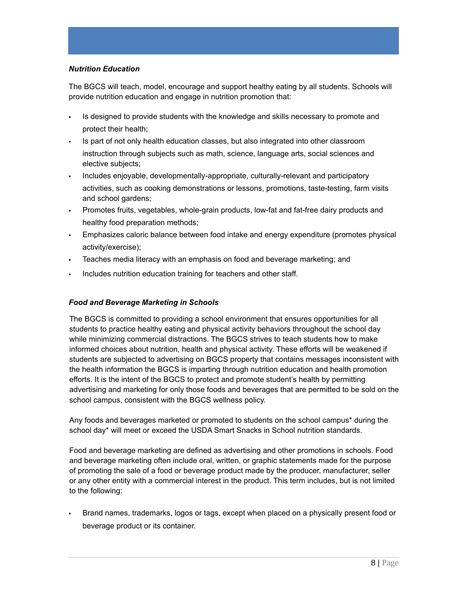## *Nutrition Education*

The BGCS will teach, model, encourage and support healthy eating by all students. Schools will provide nutrition education and engage in nutrition promotion that:

- Is designed to provide students with the knowledge and skills necessary to promote and protect their health;
- Is part of not only health education classes, but also integrated into other classroom instruction through subjects such as math, science, language arts, social sciences and elective subjects;
- Includes enjoyable, developmentally-appropriate, culturally-relevant and participatory activities, such as cooking demonstrations or lessons, promotions, taste-testing, farm visits and school gardens;
- Promotes fruits, vegetables, whole-grain products, low-fat and fat-free dairy products and healthy food preparation methods;
- **Emphasizes caloric balance between food intake and energy expenditure (promotes physical** activity/exercise);
- Teaches media literacy with an emphasis on food and beverage marketing; and
- Includes nutrition education training for teachers and other staff.

## *Food and Beverage Marketing in Schools*

The BGCS is committed to providing a school environment that ensures opportunities for all students to practice healthy eating and physical activity behaviors throughout the school day while minimizing commercial distractions. The BGCS strives to teach students how to make informed choices about nutrition, health and physical activity. These efforts will be weakened if students are subjected to advertising on BGCS property that contains messages inconsistent with the health information the BGCS is imparting through nutrition education and health promotion efforts. It is the intent of the BGCS to protect and promote student's health by permitting advertising and marketing for only those foods and beverages that are permitted to be sold on the school campus, consistent with the BGCS wellness policy.

Any foods and beverages marketed or promoted to students on the school campus\* during the school day\* will meet or exceed the USDA Smart Snacks in School nutrition standards.

Food and beverage marketing are defined as advertising and other promotions in schools. Food and beverage marketing often include oral, written, or graphic statements made for the purpose of promoting the sale of a food or beverage product made by the producer, manufacturer, seller or any other entity with a commercial interest in the product. This term includes, but is not limited to the following:

Brand names, trademarks, logos or tags, except when placed on a physically present food or beverage product or its container.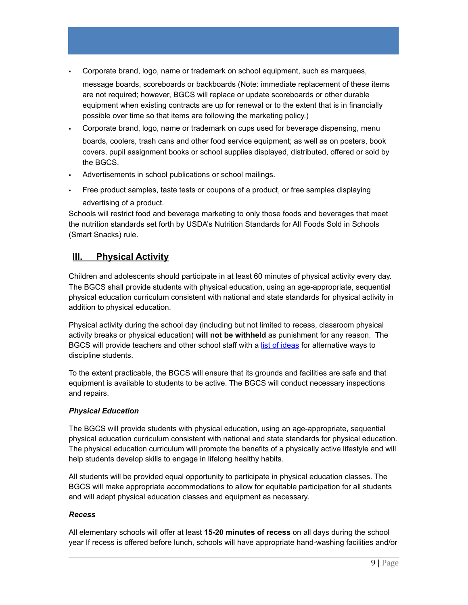- Corporate brand, logo, name or trademark on school equipment, such as marquees, message boards, scoreboards or backboards (Note: immediate replacement of these items are not required; however, BGCS will replace or update scoreboards or other durable equipment when existing contracts are up for renewal or to the extent that is in financially possible over time so that items are following the marketing policy.)
- Corporate brand, logo, name or trademark on cups used for beverage dispensing, menu boards, coolers, trash cans and other food service equipment; as well as on posters, book covers, pupil assignment books or school supplies displayed, distributed, offered or sold by the BGCS.
- Advertisements in school publications or school mailings.
- Free product samples, taste tests or coupons of a product, or free samples displaying advertising of a product.

Schools will restrict food and beverage marketing to only those foods and beverages that meet the nutrition standards set forth by USDA's Nutrition Standards for All Foods Sold in Schools (Smart Snacks) rule.

# <span id="page-8-0"></span>**III. Physical Activity**

Children and adolescents should participate in at least 60 minutes of physical activity every day. The BGCS shall provide students with physical education, using an age-appropriate, sequential physical education curriculum consistent with national and state standards for physical activity in addition to physical education.

Physical activity during the school day (including but not limited to recess, classroom physical activity breaks or physical education) **will not be withheld** as punishment for any reason. The BGCS will provide teachers and other school staff with a list of [ideas](http://cspinet.org/new/pdf/constructive_classroom_rewards.pdf) for alternative ways to discipline students.

To the extent practicable, the BGCS will ensure that its grounds and facilities are safe and that equipment is available to students to be active. The BGCS will conduct necessary inspections and repairs.

### *Physical Education*

The BGCS will provide students with physical education, using an age-appropriate, sequential physical education curriculum consistent with national and state standards for physical education. The physical education curriculum will promote the benefits of a physically active lifestyle and will help students develop skills to engage in lifelong healthy habits.

All students will be provided equal opportunity to participate in physical education classes. The BGCS will make appropriate accommodations to allow for equitable participation for all students and will adapt physical education classes and equipment as necessary.

### *Recess*

All elementary schools will offer at least **15-20 minutes of recess** on all days during the school year If recess is offered before lunch, schools will have appropriate hand-washing facilities and/or